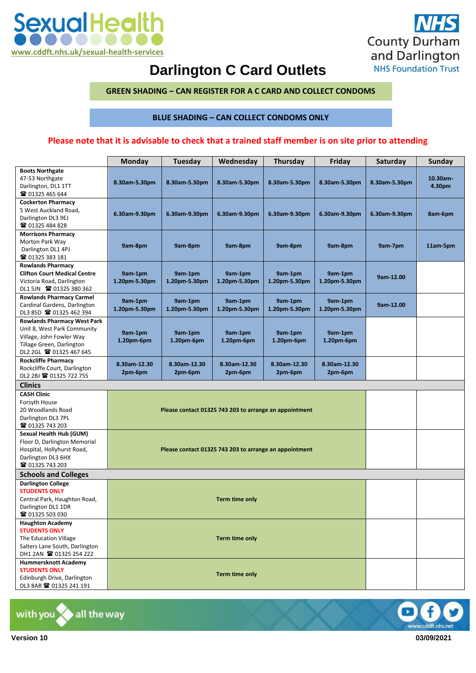



## **Darlington C Card Outlets**

 **GREEN SHADING – CAN REGISTER FOR A C CARD AND COLLECT CONDOMS** 

 **BLUE SHADING – CAN COLLECT CONDOMS ONLY** 

## **Please note that it is advisable to check that a trained staff member is on site prior to attending**

|                                            | <b>Monday</b>                                          | Tuesday       | Wednesday     | Thursday      | Friday        | Saturday      | Sunday      |  |  |  |
|--------------------------------------------|--------------------------------------------------------|---------------|---------------|---------------|---------------|---------------|-------------|--|--|--|
| <b>Boots Northgate</b>                     |                                                        |               |               |               |               |               |             |  |  |  |
| 47-53 Northgate                            |                                                        | 8.30am-5.30pm |               |               |               | 8.30am-5.30pm | $10.30$ am- |  |  |  |
| Darlington, DL1 1TT                        | 8.30am 5.30pm                                          |               | 8.30am-5.30pm | 8.30am-5.30pm | 8.30am-5.30pm |               | 4.30pm      |  |  |  |
| ☎ 01325 465 644                            |                                                        |               |               |               |               |               |             |  |  |  |
| <b>Cockerton Pharmacy</b>                  |                                                        |               |               |               |               |               |             |  |  |  |
| 5 West Auckland Road.                      | 6.30am-9.30pm                                          | 6.30am-9.30pm | 6.30am-9.30pm | 6.30am-9.30pm | 6.30am-9.30pm | 6.30am-9.30pm | 8am-6pm     |  |  |  |
| Darlington DL3 9EJ                         |                                                        |               |               |               |               |               |             |  |  |  |
| ☎ 01325 484 828                            |                                                        |               |               |               |               |               |             |  |  |  |
| <b>Morrisons Pharmacy</b>                  |                                                        |               |               |               |               |               |             |  |  |  |
| Morton Park Way                            | 9am-8pm                                                | 9am-8pm       | 9am-8pm       | 9am-8pm       | 9am-8pm       | 9am-7pm       | 11am-5pm    |  |  |  |
| Darlington DL1 4PJ                         |                                                        |               |               |               |               |               |             |  |  |  |
| ☎ 01325 383 181                            |                                                        |               |               |               |               |               |             |  |  |  |
| <b>Rowlands Pharmacy</b>                   |                                                        |               |               |               |               |               |             |  |  |  |
| <b>Clifton Court Medical Centre</b>        | 9am-1pm                                                | 9am-1pm       | 9am-1pm       | 9am-1pm       | 9am-1pm       | 9am-12.00     |             |  |  |  |
| Victoria Road, Darlington                  | 1.20pm-5.30pm                                          | 1.20pm-5.30pm | 1.20pm-5.30pm | 1.20pm-5.30pm | 1.20pm-5.30pm |               |             |  |  |  |
| DL1 5JN 2 01325 380 362                    |                                                        |               |               |               |               |               |             |  |  |  |
| <b>Rowlands Pharmacy Carmel</b>            | 9am-1pm                                                | 9am-1pm       | 9am-1pm       | 9am-1pm       | 9am-1pm       |               |             |  |  |  |
| Cardinal Gardens, Darlington               | 1.20pm-5.30pm                                          | 1.20pm-5.30pm | 1.20pm-5.30pm | 1.20pm-5.30pm | 1.20pm-5.30pm | 9am-12.00     |             |  |  |  |
| DL3 8SD 2 01325 462 394                    |                                                        |               |               |               |               |               |             |  |  |  |
| <b>Rowlands Pharmacy West Park</b>         |                                                        |               |               |               |               |               |             |  |  |  |
| Unit 8, West Park Community                | 9am-1pm                                                | 9am-1pm       | 9am-1pm       | 9am-1pm       | 9am-1pm       |               |             |  |  |  |
| Village, John Fowler Way                   | 1.20pm-6pm                                             | 1.20pm-6pm    | 1.20pm-6pm    | 1.20pm-6pm    | 1.20pm-6pm    |               |             |  |  |  |
| Tillage Green, Darlington                  |                                                        |               |               |               |               |               |             |  |  |  |
| DL2 2GL 2 01325 467 645                    |                                                        |               |               |               |               |               |             |  |  |  |
| <b>Rockcliffe Pharmacy</b>                 | 8.30am 12.30                                           | 8.30am-12.30  | 8.30am 12.30  | 8.30am-12.30  | 8.30am-12.30  |               |             |  |  |  |
| Rockcliffe Court, Darlington               | 2pm-6pm                                                | 2pm-6pm       | 2pm-6pm       | 2pm-6pm       | 2pm-6pm       |               |             |  |  |  |
| DL2 2BJ 雷 01325 722 755                    |                                                        |               |               |               |               |               |             |  |  |  |
| <b>Clinics</b>                             |                                                        |               |               |               |               |               |             |  |  |  |
| <b>CASH Clinic</b>                         |                                                        |               |               |               |               |               |             |  |  |  |
| Forsyth House                              |                                                        |               |               |               |               |               |             |  |  |  |
| 20 Woodlands Road                          | Please contact 01325 743 203 to arrange an appointment |               |               |               |               |               |             |  |  |  |
| Darlington DL3 7PL                         |                                                        |               |               |               |               |               |             |  |  |  |
| ☎ 01325 743 203                            |                                                        |               |               |               |               |               |             |  |  |  |
| <b>Sexual Health Hub (GUM)</b>             |                                                        |               |               |               |               |               |             |  |  |  |
| Floor D, Darlington Memorial               |                                                        |               |               |               |               |               |             |  |  |  |
| Hospital, Hollyhurst Road,                 | Please contact 01325 743 203 to arrange an appointment |               |               |               |               |               |             |  |  |  |
| Darlington DL3 6HX                         |                                                        |               |               |               |               |               |             |  |  |  |
| ■ 01325 743 203                            |                                                        |               |               |               |               |               |             |  |  |  |
| <b>Schools and Colleges</b>                |                                                        |               |               |               |               |               |             |  |  |  |
| <b>Darlington College</b>                  |                                                        |               |               |               |               |               |             |  |  |  |
| <b>STUDENTS ONLY</b>                       |                                                        |               |               |               |               |               |             |  |  |  |
| Central Park, Haughton Road,               |                                                        |               |               |               |               |               |             |  |  |  |
| Darlington DL1 1DR                         |                                                        |               |               |               |               |               |             |  |  |  |
| ☎ 01325 503 030<br><b>Haughton Academy</b> |                                                        |               |               |               |               |               |             |  |  |  |
| <b>STUDENTS ONLY</b>                       |                                                        |               |               |               |               |               |             |  |  |  |
| The Education Village                      |                                                        |               |               |               |               |               |             |  |  |  |
| Salters Lane South, Darlington             | Term time only                                         |               |               |               |               |               |             |  |  |  |
| DH1 2AN 201325 254 222                     |                                                        |               |               |               |               |               |             |  |  |  |
| <b>Hummersknott Academy</b>                |                                                        |               |               |               |               |               |             |  |  |  |
| <b>STUDENTS ONLY</b>                       |                                                        |               |               |               |               |               |             |  |  |  |
| Edinburgh Drive, Darlington                | Term time only                                         |               |               |               |               |               |             |  |  |  |
| DL3 8AR 2 01325 241 191                    |                                                        |               |               |               |               |               |             |  |  |  |
|                                            |                                                        |               |               |               |               |               |             |  |  |  |

with you  $\blacklozenge$  all the way  $\blacksquare$ 



**Version 10 Version 10 03/09/2021**